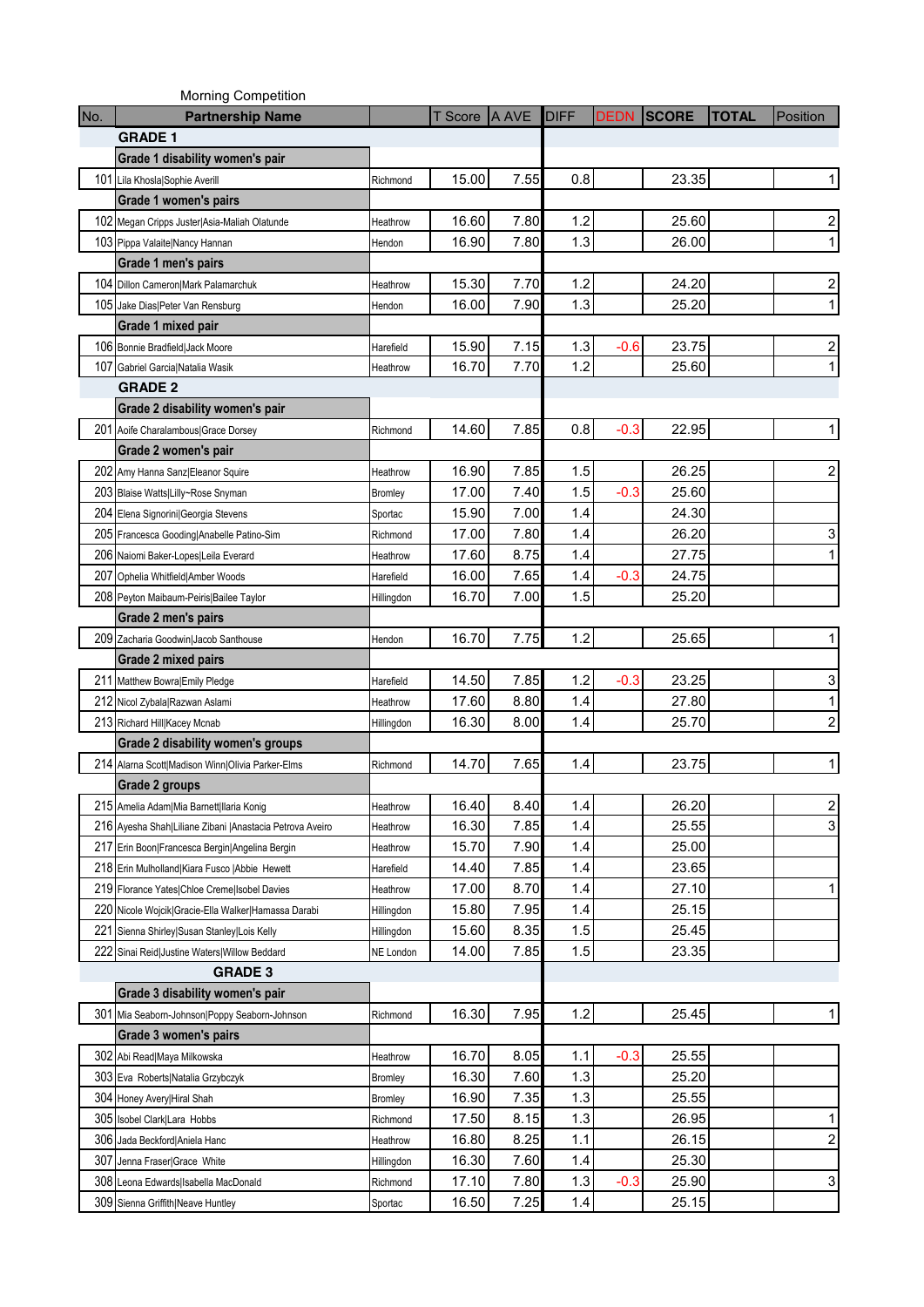|              | <b>Morning Competition</b>                                |            |         |       |             |             |              |              |                         |
|--------------|-----------------------------------------------------------|------------|---------|-------|-------------|-------------|--------------|--------------|-------------------------|
| No.          | <b>Partnership Name</b>                                   |            | T Score | A AVE | <b>DIFF</b> | <b>DEDN</b> | <b>SCORE</b> | <b>TOTAL</b> | Position                |
|              | <b>GRADE 1</b>                                            |            |         |       |             |             |              |              |                         |
|              | Grade 1 disability women's pair                           |            |         |       |             |             |              |              |                         |
| 101          | Lila Khosla Sophie Averill                                | Richmond   | 15.00   | 7.55  | 0.8         |             | 23.35        |              | 1                       |
|              | Grade 1 women's pairs                                     |            |         |       |             |             |              |              |                         |
| 102          | Megan Cripps Juster Asia-Maliah Olatunde                  | Heathrow   | 16.60   | 7.80  | 1.2         |             | 25.60        |              | 2                       |
| 103          | Pippa Valaite Nancy Hannan                                | Hendon     | 16.90   | 7.80  | 1.3         |             | 26.00        |              | $\mathbf{1}$            |
|              | Grade 1 men's pairs                                       |            |         |       |             |             |              |              |                         |
| 104          | Dillon Cameron Mark Palamarchuk                           | Heathrow   | 15.30   | 7.70  | 1.2         |             | 24.20        |              | 2                       |
|              | 105 Jake Dias Peter Van Rensburg                          | Hendon     | 16.00   | 7.90  | 1.3         |             | 25.20        |              | 1                       |
|              | Grade 1 mixed pair                                        |            |         |       |             |             |              |              |                         |
|              | 106 Bonnie Bradfield Jack Moore                           | Harefield  | 15.90   | 7.15  | 1.3         | $-0.6$      | 23.75        |              | 2                       |
| 107          | Gabriel Garcia Natalia Wasik                              | Heathrow   | 16.70   | 7.70  | 1.2         |             | 25.60        |              | 1                       |
|              | <b>GRADE 2</b>                                            |            |         |       |             |             |              |              |                         |
|              | Grade 2 disability women's pair                           |            |         |       |             |             |              |              |                         |
| 201          | Aoife Charalambous Grace Dorsey                           | Richmond   | 14.60   | 7.85  | 0.8         | $-0.3$      | 22.95        |              |                         |
|              | Grade 2 women's pair                                      |            |         |       |             |             |              |              |                         |
| 202          | Amy Hanna Sanz Eleanor Squire                             | Heathrow   | 16.90   | 7.85  | 1.5         |             | 26.25        |              | 2                       |
| 203          | Blaise Watts Lilly~Rose Snyman                            | Bromley    | 17.00   | 7.40  | 1.5         | $-0.3$      | 25.60        |              |                         |
| 204          | Elena Signorini Georgia Stevens                           | Sportac    | 15.90   | 7.00  | 1.4         |             | 24.30        |              |                         |
| 205          | Francesca Gooding Anabelle Patino-Sim                     | Richmond   | 17.00   | 7.80  | 1.4         |             | 26.20        |              | 3                       |
| 206          | Naiomi Baker-Lopes Leila Everard                          | Heathrow   | 17.60   | 8.75  | 1.4         |             | 27.75        |              | 1                       |
| 207          | Ophelia Whitfield Amber Woods                             | Harefield  | 16.00   | 7.65  | 1.4         | $-0.3$      | 24.75        |              |                         |
| 208          | Peyton Maibaum-Peiris Bailee Taylor                       | Hillingdon | 16.70   | 7.00  | 1.5         |             | 25.20        |              |                         |
|              | Grade 2 men's pairs                                       |            |         |       |             |             |              |              |                         |
|              | 209 Zacharia Goodwin Jacob Santhouse                      | Hendon     | 16.70   | 7.75  | 1.2         |             | 25.65        |              | 1                       |
|              | Grade 2 mixed pairs                                       |            |         |       |             |             |              |              |                         |
| 211          | Matthew Bowra Emily Pledge                                | Harefield  | 14.50   | 7.85  | 1.2         | $-0.3$      | 23.25        |              | 3                       |
| 212          | Nicol Zybala Razwan Aslami                                | Heathrow   | 17.60   | 8.80  | 1.4         |             | 27.80        |              | 1                       |
|              | 213 Richard Hill Kacey Mcnab                              | Hillingdon | 16.30   | 8.00  | 1.4         |             | 25.70        |              | $\overline{c}$          |
|              | Grade 2 disability women's groups                         |            |         |       |             |             |              |              |                         |
| 214          | Alarna Scott Madison Winn Olivia Parker-Elms              | Richmond   | 14.70   | 7.65  | 1.4         |             | 23.75        |              | 1                       |
|              | Grade 2 groups                                            |            |         |       |             |             |              |              |                         |
|              | 215 Amelia Adam Mia Barnett Ilaria Konig                  | Heathrow   | 16.40   | 8.40  | 1.4         |             | 26.20        |              | $\overline{\mathbf{c}}$ |
|              | 216 Ayesha Shah Liliane Zibani   Anastacia Petrova Aveiro | Heathrow   | 16.30   | 7.85  | 1.4         |             | 25.55        |              | 3                       |
| 217          | Erin Boon Francesca Bergin Angelina Bergin                | Heathrow   | 15.70   | 7.90  | 1.4         |             | 25.00        |              |                         |
| 218          | Erin Mulholland Kiara Fusco   Abbie Hewett                | Harefield  | 14.40   | 7.85  | 1.4         |             | 23.65        |              |                         |
| 219          | Florance Yates Chloe Creme Isobel Davies                  | Heathrow   | 17.00   | 8.70  | 1.4         |             | 27.10        |              | 1                       |
| 220          | Nicole Wojcik Gracie-Ella Walker Hamassa Darabi           | Hillingdon | 15.80   | 7.95  | 1.4         |             | 25.15        |              |                         |
| $22^{\circ}$ | Sienna Shirley Susan Stanley Lois Kelly                   | Hillingdon | 15.60   | 8.35  | 1.5         |             | 25.45        |              |                         |
| 222          | Sinai Reid Justine Waters Willow Beddard                  | NE London  | 14.00   | 7.85  | 1.5         |             | 23.35        |              |                         |
|              | <b>GRADE 3</b>                                            |            |         |       |             |             |              |              |                         |
|              | Grade 3 disability women's pair                           |            |         |       |             |             |              |              |                         |
| 301          | Mia Seaborn-Johnson Poppy Seaborn-Johnson                 | Richmond   | 16.30   | 7.95  | $1.2$       |             | 25.45        |              |                         |
|              | Grade 3 women's pairs                                     |            |         |       |             |             |              |              |                         |
| 302          | Abi Read Maya Milkowska                                   | Heathrow   | 16.70   | 8.05  | 1.1         | $-0.3$      | 25.55        |              |                         |
| 303          | Eva Roberts Natalia Grzybczyk                             | Bromley    | 16.30   | 7.60  | 1.3         |             | 25.20        |              |                         |
| 304          | Honey Avery Hiral Shah                                    | Bromley    | 16.90   | 7.35  | 1.3         |             | 25.55        |              |                         |
| 305          | Isobel Clark Lara Hobbs                                   | Richmond   | 17.50   | 8.15  | 1.3         |             | 26.95        |              | 1                       |
| 306          | Jada Beckford Aniela Hanc                                 | Heathrow   | 16.80   | 8.25  | 1.1         |             | 26.15        |              | $\overline{\mathbf{c}}$ |
| 307          | Jenna Fraser Grace White                                  | Hillingdon | 16.30   | 7.60  | 1.4         |             | 25.30        |              |                         |
| 308          | Leona Edwards Isabella MacDonald                          | Richmond   | 17.10   | 7.80  | 1.3         | $-0.3$      | 25.90        |              | 3                       |
| 309          | Sienna Griffith Neave Huntley                             | Sportac    | 16.50   | 7.25  | 1.4         |             | 25.15        |              |                         |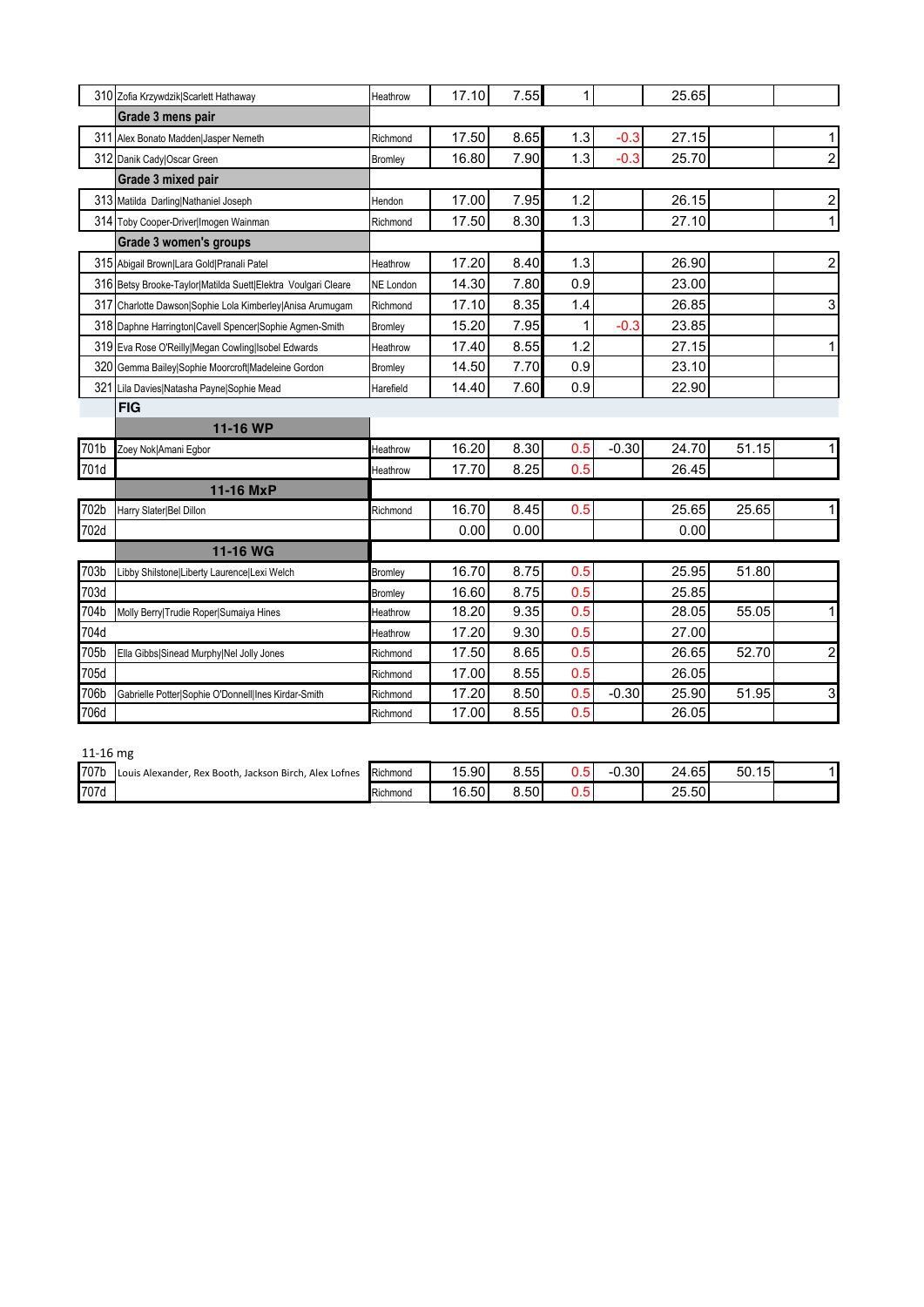|      | 310 Zofia Krzywdzik Scarlett Hathaway                         | Heathrow  | 17.10 | 7.55 | 1   |         | 25.65 |       |                         |
|------|---------------------------------------------------------------|-----------|-------|------|-----|---------|-------|-------|-------------------------|
|      | Grade 3 mens pair                                             |           |       |      |     |         |       |       |                         |
| 311  | Alex Bonato Madden Jasper Nemeth                              | Richmond  | 17.50 | 8.65 | 1.3 | $-0.3$  | 27.15 |       | 1                       |
|      | 312 Danik Cady Oscar Green                                    | Bromley   | 16.80 | 7.90 | 1.3 | $-0.3$  | 25.70 |       | $\overline{\mathbf{c}}$ |
|      | Grade 3 mixed pair                                            |           |       |      |     |         |       |       |                         |
|      | 313 Matilda Darling Nathaniel Joseph                          | Hendon    | 17.00 | 7.95 | 1.2 |         | 26.15 |       | $\overline{\mathbf{c}}$ |
|      | 314 Toby Cooper-Driver Imogen Wainman                         | Richmond  | 17.50 | 8.30 | 1.3 |         | 27.10 |       | 1                       |
|      | Grade 3 women's groups                                        |           |       |      |     |         |       |       |                         |
|      | 315 Abigail Brown Lara Gold Pranali Patel                     | Heathrow  | 17.20 | 8.40 | 1.3 |         | 26.90 |       | $\overline{\mathbf{c}}$ |
|      | 316 Betsy Brooke-Taylor Matilda Suett Elektra Voulgari Cleare | NE London | 14.30 | 7.80 | 0.9 |         | 23.00 |       |                         |
| 317  | Charlotte Dawson Sophie Lola Kimberley Anisa Arumugam         | Richmond  | 17.10 | 8.35 | 1.4 |         | 26.85 |       | 3                       |
|      | 318 Daphne Harrington Cavell Spencer Sophie Agmen-Smith       | Bromley   | 15.20 | 7.95 |     | $-0.3$  | 23.85 |       |                         |
|      | 319 Eva Rose O'Reilly Megan Cowling Isobel Edwards            | Heathrow  | 17.40 | 8.55 | 1.2 |         | 27.15 |       | 1                       |
| 320  | Gemma Bailey Sophie Moorcroft Madeleine Gordon                | Bromley   | 14.50 | 7.70 | 0.9 |         | 23.10 |       |                         |
| 321  | Lila Davies Natasha Payne Sophie Mead                         | Harefield | 14.40 | 7.60 | 0.9 |         | 22.90 |       |                         |
|      | <b>FIG</b>                                                    |           |       |      |     |         |       |       |                         |
|      | 11-16 WP                                                      |           |       |      |     |         |       |       |                         |
| 701b | Zoey Nok Amani Egbor                                          | Heathrow  | 16.20 | 8.30 | 0.5 | $-0.30$ | 24.70 | 51.15 |                         |
| 701d |                                                               | Heathrow  | 17.70 | 8.25 | 0.5 |         | 26.45 |       |                         |
|      | 11-16 MxP                                                     |           |       |      |     |         |       |       |                         |
| 702b | Harry Slater Bel Dillon                                       | Richmond  | 16.70 | 8.45 | 0.5 |         | 25.65 | 25.65 |                         |
| 702d |                                                               |           | 0.00  | 0.00 |     |         | 0.00  |       |                         |
|      | 11-16 WG                                                      |           |       |      |     |         |       |       |                         |
| 703b | Libby Shilstone Liberty Laurence Lexi Welch                   | Bromley   | 16.70 | 8.75 | 0.5 |         | 25.95 | 51.80 |                         |
| 703d |                                                               | Bromley   | 16.60 | 8.75 | 0.5 |         | 25.85 |       |                         |
| 704b | Molly Berry Trudie Roper Sumaiya Hines                        | Heathrow  | 18.20 | 9.35 | 0.5 |         | 28.05 | 55.05 | 1                       |
| 704d |                                                               | Heathrow  | 17.20 | 9.30 | 0.5 |         | 27.00 |       |                         |
| 705b | Ella Gibbs Sinead Murphy Nel Jolly Jones                      | Richmond  | 17.50 | 8.65 | 0.5 |         | 26.65 | 52.70 | $\overline{\mathbf{c}}$ |
| 705d |                                                               | Richmond  | 17.00 | 8.55 | 0.5 |         | 26.05 |       |                         |
| 706b | Gabrielle Potter Sophie O'Donnell Ines Kirdar-Smith           | Richmond  | 17.20 | 8.50 | 0.5 | $-0.30$ | 25.90 | 51.95 | 3                       |
| 706d |                                                               | Richmond  | 17.00 | 8.55 | 0.5 |         | 26.05 |       |                         |

| n | rr |
|---|----|
|---|----|

| ------ |                                                             |          |             |      |     |         |       |             |  |
|--------|-------------------------------------------------------------|----------|-------------|------|-----|---------|-------|-------------|--|
| 707b   | Louis Alexander, Rex Booth, Jackson Birch.<br>. Alex Lofnes | Richmond | 5.90 <br>15 | 8.55 |     | $-0.30$ | 24.65 | 50.15<br>15 |  |
| 707d   |                                                             | Richmond | 16.50       | 8.50 | J.J |         | 25.50 |             |  |